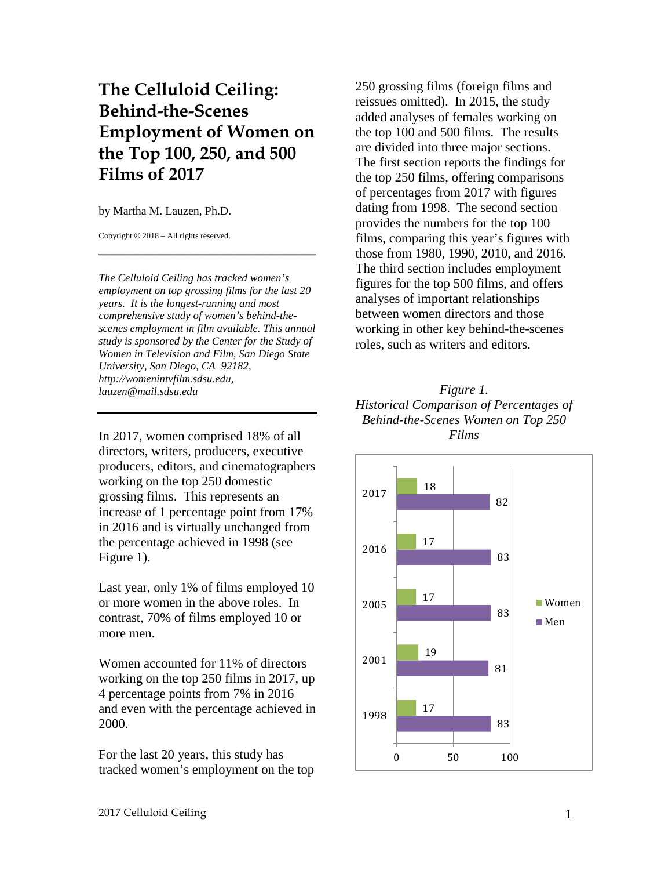# **The Celluloid Ceiling: Behind-the-Scenes Employment of Women on the Top 100, 250, and 500 Films of 2017**

by Martha M. Lauzen, Ph.D.

Copyright © 2018 – All rights reserved.

*The Celluloid Ceiling has tracked women's employment on top grossing films for the last 20 years. It is the longest-running and most comprehensive study of women's behind-thescenes employment in film available. This annual study is sponsored by the Center for the Study of Women in Television and Film, San Diego State University, San Diego, CA 92182, http://womenintvfilm.sdsu.edu, lauzen@mail.sdsu.edu*

**\_\_\_\_\_\_\_\_\_\_\_\_\_\_\_\_\_\_\_\_\_\_\_\_\_\_\_\_\_\_\_\_\_**

In 2017, women comprised 18% of all directors, writers, producers, executive producers, editors, and cinematographers working on the top 250 domestic grossing films. This represents an increase of 1 percentage point from 17% in 2016 and is virtually unchanged from the percentage achieved in 1998 (see Figure 1).

Last year, only 1% of films employed 10 or more women in the above roles. In contrast, 70% of films employed 10 or more men.

Women accounted for 11% of directors working on the top 250 films in 2017, up 4 percentage points from 7% in 2016 and even with the percentage achieved in 2000.

For the last 20 years, this study has tracked women's employment on the top 250 grossing films (foreign films and reissues omitted). In 2015, the study added analyses of females working on the top 100 and 500 films. The results are divided into three major sections. The first section reports the findings for the top 250 films, offering comparisons of percentages from 2017 with figures dating from 1998. The second section provides the numbers for the top 100 films, comparing this year's figures with those from 1980, 1990, 2010, and 2016. The third section includes employment figures for the top 500 films, and offers analyses of important relationships between women directors and those working in other key behind-the-scenes roles, such as writers and editors.

### *Figure 1. Historical Comparison of Percentages of Behind-the-Scenes Women on Top 250 Films*

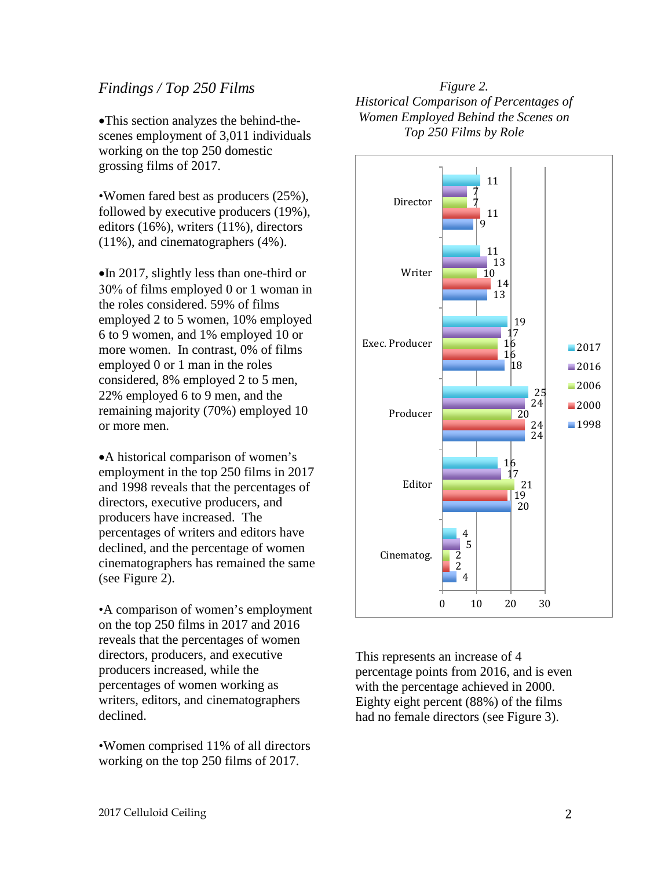## *Findings / Top 250 Films*

•This section analyzes the behind-thescenes employment of 3,011 individuals working on the top 250 domestic grossing films of 2017.

•Women fared best as producers (25%), followed by executive producers (19%), editors (16%), writers (11%), directors (11%), and cinematographers (4%).

•In 2017, slightly less than one-third or 30% of films employed 0 or 1 woman in the roles considered. 59% of films employed 2 to 5 women, 10% employed 6 to 9 women, and 1% employed 10 or more women. In contrast, 0% of films employed 0 or 1 man in the roles considered, 8% employed 2 to 5 men, 22% employed 6 to 9 men, and the remaining majority (70%) employed 10 or more men.

•A historical comparison of women's employment in the top 250 films in 2017 and 1998 reveals that the percentages of directors, executive producers, and producers have increased. The percentages of writers and editors have declined, and the percentage of women cinematographers has remained the same (see Figure 2).

•A comparison of women's employment on the top 250 films in 2017 and 2016 reveals that the percentages of women directors, producers, and executive producers increased, while the percentages of women working as writers, editors, and cinematographers declined.

•Women comprised 11% of all directors working on the top 250 films of 2017.

*Figure 2. Historical Comparison of Percentages of Women Employed Behind the Scenes on Top 250 Films by Role*



This represents an increase of 4 percentage points from 2016, and is even with the percentage achieved in 2000. Eighty eight percent (88%) of the films had no female directors (see Figure 3).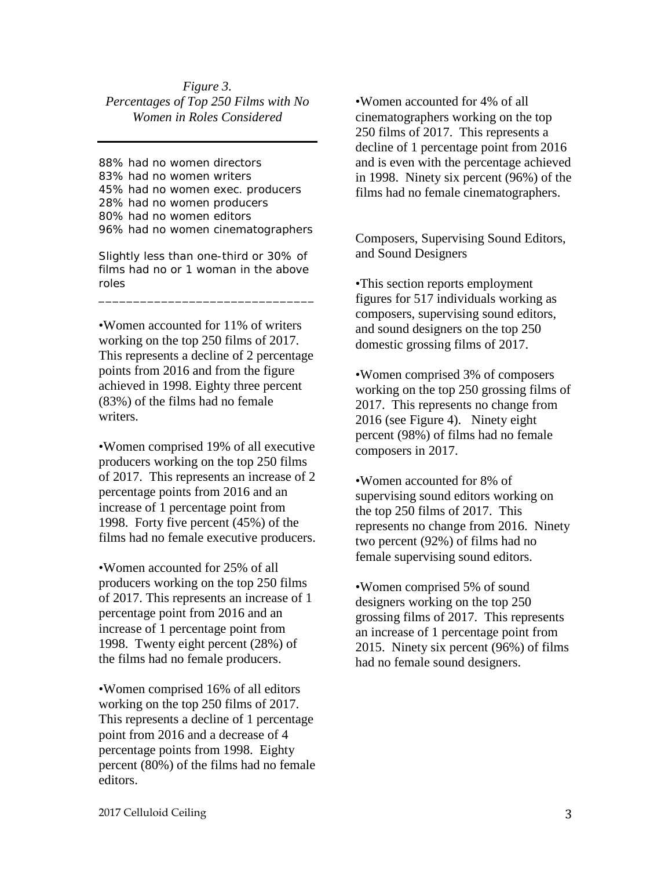#### *Figure 3. Percentages of Top 250 Films with No Women in Roles Considered*

88% had no women directors 83% had no women writers 45% had no women exec. producers 28% had no women producers 80% had no women editors 96% had no women cinematographers

Slightly less than one-third or 30% of films had no or 1 woman in the above roles

\_\_\_\_\_\_\_\_\_\_\_\_\_\_\_\_\_\_\_\_\_\_\_\_\_\_\_\_\_\_\_

•Women accounted for 11% of writers working on the top 250 films of 2017. This represents a decline of 2 percentage points from 2016 and from the figure achieved in 1998. Eighty three percent (83%) of the films had no female writers.

•Women comprised 19% of all executive producers working on the top 250 films of 2017. This represents an increase of 2 percentage points from 2016 and an increase of 1 percentage point from 1998. Forty five percent (45%) of the films had no female executive producers.

•Women accounted for 25% of all producers working on the top 250 films of 2017. This represents an increase of 1 percentage point from 2016 and an increase of 1 percentage point from 1998. Twenty eight percent (28%) of the films had no female producers.

•Women comprised 16% of all editors working on the top 250 films of 2017. This represents a decline of 1 percentage point from 2016 and a decrease of 4 percentage points from 1998. Eighty percent (80%) of the films had no female editors.

•Women accounted for 4% of all cinematographers working on the top 250 films of 2017. This represents a decline of 1 percentage point from 2016 and is even with the percentage achieved in 1998. Ninety six percent (96%) of the films had no female cinematographers.

Composers, Supervising Sound Editors, and Sound Designers

•This section reports employment figures for 517 individuals working as composers, supervising sound editors, and sound designers on the top 250 domestic grossing films of 2017.

•Women comprised 3% of composers working on the top 250 grossing films of 2017. This represents no change from 2016 (see Figure 4). Ninety eight percent (98%) of films had no female composers in 2017.

•Women accounted for 8% of supervising sound editors working on the top 250 films of 2017. This represents no change from 2016. Ninety two percent (92%) of films had no female supervising sound editors.

•Women comprised 5% of sound designers working on the top 250 grossing films of 2017. This represents an increase of 1 percentage point from 2015. Ninety six percent (96%) of films had no female sound designers.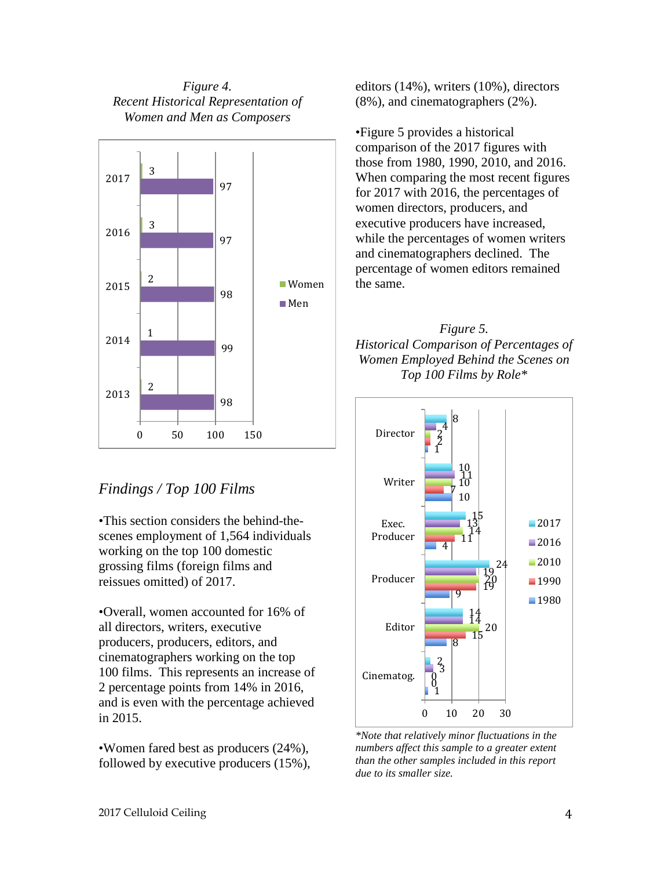*Figure 4. Recent Historical Representation of Women and Men as Composers*



# *Findings / Top 100 Films*

•This section considers the behind-thescenes employment of 1,564 individuals working on the top 100 domestic grossing films (foreign films and reissues omitted) of 2017.

•Overall, women accounted for 16% of all directors, writers, executive producers, producers, editors, and cinematographers working on the top 100 films. This represents an increase of 2 percentage points from 14% in 2016, and is even with the percentage achieved in 2015.

•Women fared best as producers (24%), followed by executive producers (15%), editors (14%), writers (10%), directors (8%), and cinematographers (2%).

•Figure 5 provides a historical comparison of the 2017 figures with those from 1980, 1990, 2010, and 2016. When comparing the most recent figures for 2017 with 2016, the percentages of women directors, producers, and executive producers have increased, while the percentages of women writers and cinematographers declined. The percentage of women editors remained the same.





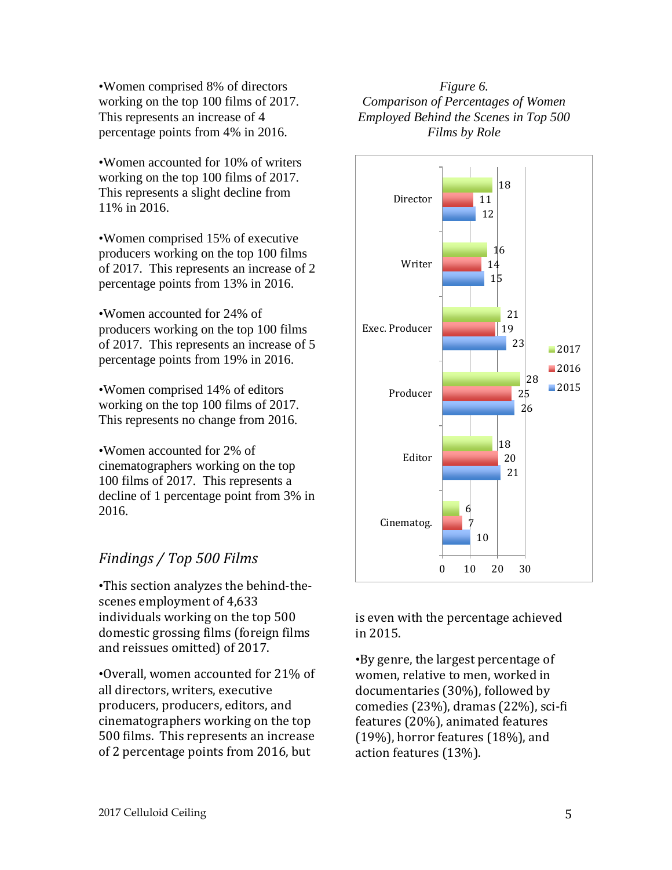•Women comprised 8% of directors working on the top 100 films of 2017. This represents an increase of 4 percentage points from 4% in 2016.

•Women accounted for 10% of writers working on the top 100 films of 2017. This represents a slight decline from 11% in 2016.

•Women comprised 15% of executive producers working on the top 100 films of 2017. This represents an increase of 2 percentage points from 13% in 2016.

•Women accounted for 24% of producers working on the top 100 films of 2017. This represents an increase of 5 percentage points from 19% in 2016.

•Women comprised 14% of editors working on the top 100 films of 2017. This represents no change from 2016.

•Women accounted for 2% of cinematographers working on the top 100 films of 2017. This represents a decline of 1 percentage point from 3% in 2016.

# *Findings / Top 500 Films*

•This section analyzes the behind-thescenes employment of 4,633 individuals working on the top 500 domestic grossing films (foreign films and reissues omitted) of 2017.

•Overall, women accounted for 21% of all directors, writers, executive producers, producers, editors, and cinematographers working on the top 500 films. This represents an increase of 2 percentage points from 2016, but

### *Figure 6. Comparison of Percentages of Women Employed Behind the Scenes in Top 500 Films by Role*



is even with the percentage achieved in 2015.

•By genre, the largest percentage of women, relative to men, worked in documentaries (30%), followed by comedies (23%), dramas (22%), sci-fi features (20%), animated features (19%), horror features (18%), and action features (13%).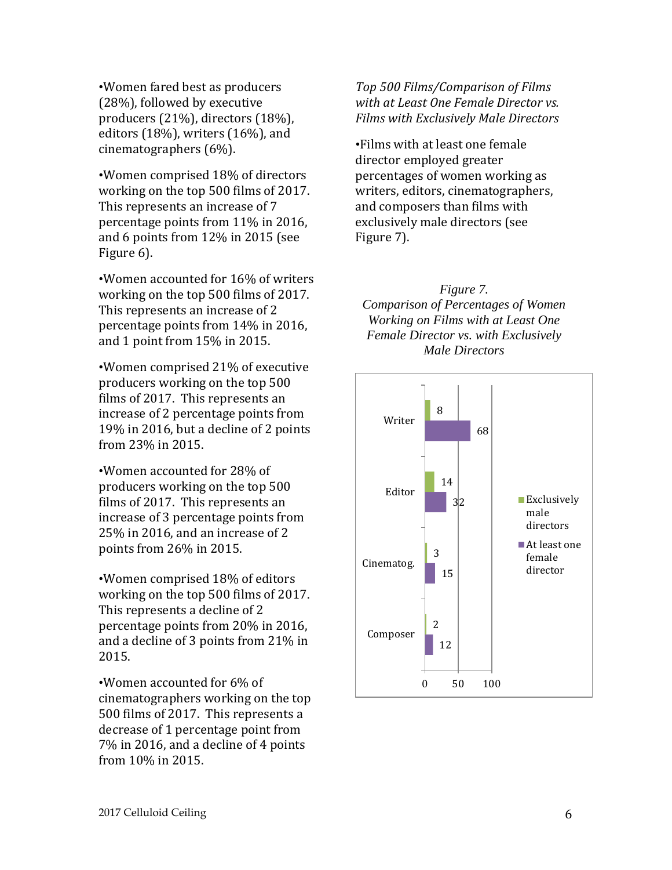•Women fared best as producers (28%), followed by executive producers (21%), directors (18%), editors (18%), writers (16%), and cinematographers (6%).

•Women comprised 18% of directors working on the top 500 films of 2017. This represents an increase of 7 percentage points from 11% in 2016, and 6 points from 12% in 2015 (see Figure 6).

•Women accounted for 16% of writers working on the top 500 films of 2017. This represents an increase of 2 percentage points from 14% in 2016, and 1 point from 15% in 2015.

•Women comprised 21% of executive producers working on the top 500 films of 2017. This represents an increase of 2 percentage points from 19% in 2016, but a decline of 2 points from 23% in 2015.

•Women accounted for 28% of producers working on the top 500 films of 2017. This represents an increase of 3 percentage points from 25% in 2016, and an increase of 2 points from 26% in 2015.

•Women comprised 18% of editors working on the top 500 films of 2017. This represents a decline of 2 percentage points from 20% in 2016, and a decline of 3 points from 21% in 2015.

•Women accounted for 6% of cinematographers working on the top 500 films of 2017. This represents a decrease of 1 percentage point from 7% in 2016, and a decline of 4 points from 10% in 2015.

*Top 500 Films/Comparison of Films with at Least One Female Director vs. Films with Exclusively Male Directors*

•Films with at least one female director employed greater percentages of women working as writers, editors, cinematographers, and composers than films with exclusively male directors (see Figure 7).

*Figure 7. Comparison of Percentages of Women Working on Films with at Least One Female Director vs. with Exclusively Male Directors*